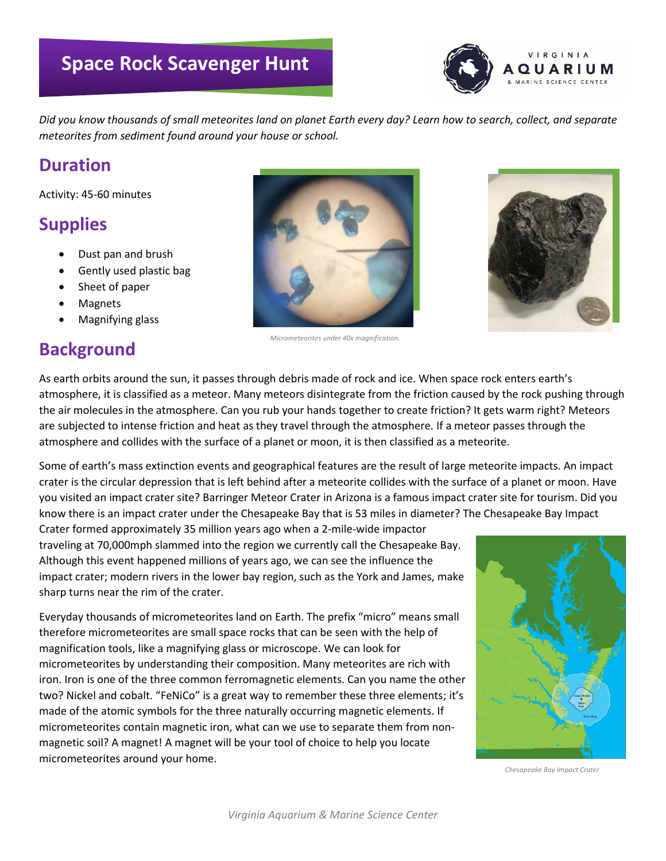# **Space Rock Scavenger Hunt**



*Did you know thousands of small meteorites land on planet Earth every day? Learn how to search, collect, and separate meteorites from sediment found around your house or school.*

#### **Duration**

Activity: 45-60 minutes

## **Supplies**

- Dust pan and brush
- Gently used plastic bag
- Sheet of paper
- **Magnets**
- Magnifying glass

## **Background**





As earth orbits around the sun, it passes through debris made of rock and ice. When space rock enters earth's atmosphere, it is classified as a meteor. Many meteors disintegrate from the friction caused by the rock pushing through the air molecules in the atmosphere. Can you rub your hands together to create friction? It gets warm right? Meteors are subjected to intense friction and heat as they travel through the atmosphere. If a meteor passes through the atmosphere and collides with the surface of a planet or moon, it is then classified as a meteorite.

Some of earth's mass extinction events and geographical features are the result of large meteorite impacts. An impact crater is the circular depression that is left behind after a meteorite collides with the surface of a planet or moon. Have you visited an impact crater site? Barringer Meteor Crater in Arizona is a famous impact crater site for tourism. Did you know there is an impact crater under the Chesapeake Bay that is 53 miles in diameter? The Chesapeake Bay Impact

Crater formed approximately 35 million years ago when a 2-mile-wide impactor traveling at 70,000mph slammed into the region we currently call the Chesapeake Bay. Although this event happened millions of years ago, we can see the influence the impact crater; modern rivers in the lower bay region, such as the York and James, make sharp turns near the rim of the crater.

Everyday thousands of micrometeorites land on Earth. The prefix "micro" means small therefore micrometeorites are small space rocks that can be seen with the help of magnification tools, like a magnifying glass or microscope. We can look for micrometeorites by understanding their composition. Many meteorites are rich with iron. Iron is one of the three common ferromagnetic elements. Can you name the other two? Nickel and cobalt. "FeNiCo" is a great way to remember these three elements; it's made of the atomic symbols for the three naturally occurring magnetic elements. If micrometeorites contain magnetic iron, what can we use to separate them from nonmagnetic soil? A magnet! A magnet will be your tool of choice to help you locate micrometeorites around your home.



*Chesapeake Bay Impact Crater*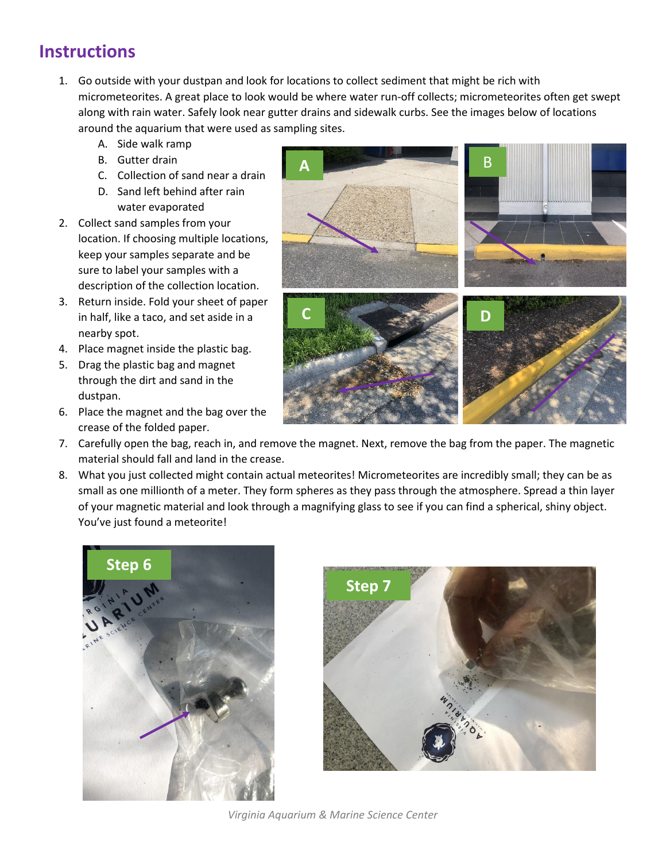# **Instructions**

- 1. Go outside with your dustpan and look for locations to collect sediment that might be rich with micrometeorites. A great place to look would be where water run-off collects; micrometeorites often get swept along with rain water. Safely look near gutter drains and sidewalk curbs. See the images below of locations around the aquarium that were used as sampling sites.
	- A. Side walk ramp
	- B. Gutter drain
	- C. Collection of sand near a drain D. Sand left behind after rain
- water evaporated 2. Collect sand samples from your location. If choosing multiple locations, keep your samples separate and be sure to label your samples with a
- description of the collection location. 3. Return inside. Fold your sheet of paper in half, like a taco, and set aside in a nearby spot.
- 4. Place magnet inside the plastic bag.
- 5. Drag the plastic bag and magnet through the dirt and sand in the dustpan.
- 6. Place the magnet and the bag over the crease of the folded paper.



- 7. Carefully open the bag, reach in, and remove the magnet. Next, remove the bag from the paper. The magnetic material should fall and land in the crease.
- 8. What you just collected might contain actual meteorites! Micrometeorites are incredibly small; they can be as small as one millionth of a meter. They form spheres as they pass through the atmosphere. Spread a thin layer of your magnetic material and look through a magnifying glass to see if you can find a spherical, shiny object. You've just found a meteorite!





*Virginia Aquarium & Marine Science Center*